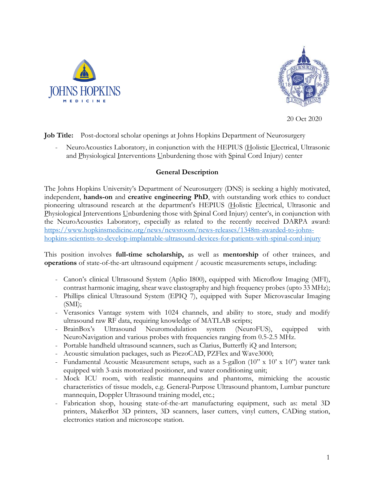



20 Oct 2020

**Job Title:** Post-doctoral scholar openings at Johns Hopkins Department of Neurosurgery

NeuroAcoustics Laboratory, in conjunction with the HEPIUS (Holistic Electrical, Ultrasonic and Physiological Interventions Unburdening those with Spinal Cord Injury) center

# **General Description**

The Johns Hopkins University's Department of Neurosurgery (DNS) is seeking a highly motivated, independent, **hands-on** and **creative engineering PhD**, with outstanding work ethics to conduct pioneering ultrasound research at the department's HEPIUS (Holistic Electrical, Ultrasonic and Physiological Interventions Unburdening those with Spinal Cord Injury) center's, in conjunction with the NeuroAcoustics Laboratory, especially as related to the recently received DARPA award: https://www.hopkinsmedicine.org/news/newsroom/news-releases/1348m-awarded-to-johnshopkins-scientists-to-develop-implantable-ultrasound-devices-for-patients-with-spinal-cord-injury

This position involves **full-time scholarship,** as well as **mentorship** of other trainees, and **operations** of state-of-the-art ultrasound equipment / acoustic measurements setups, including:

- Canon's clinical Ultrasound System (Aplio I800), equipped with Microflow Imaging (MFI), contrast harmonic imaging, shear wave elastography and high frequency probes (upto 33 MHz);
- Phillips clinical Ultrasound System (EPIQ 7), equipped with Super Microvascular Imaging  $(SMI)$ ;
- Verasonics Vantage system with 1024 channels, and ability to store, study and modify ultrasound raw RF data, requiring knowledge of MATLAB scripts;
- BrainBox's Ultrasound Neuromodulation system (NeuroFUS), equipped with NeuroNavigation and various probes with frequencies ranging from 0.5-2.5 MHz.
- Portable handheld ultrasound scanners, such as Clarius, Butterfly iQ and Interson;
- Acoustic simulation packages, such as PiezoCAD, PZFlex and Wave3000;
- Fundamental Acoustic Measurement setups, such as a 5-gallon (10" x 10' x 10") water tank equipped with 3-axis motorized positioner, and water conditioning unit;
- Mock ICU room, with realistic mannequins and phantoms, mimicking the acoustic characteristics of tissue models, e.g. General-Purpose Ultrasound phantom, Lumbar puncture mannequin, Doppler Ultrasound training model, etc.;
- Fabrication shop, housing state-of-the-art manufacturing equipment, such as: metal 3D printers, MakerBot 3D printers, 3D scanners, laser cutters, vinyl cutters, CADing station, electronics station and microscope station.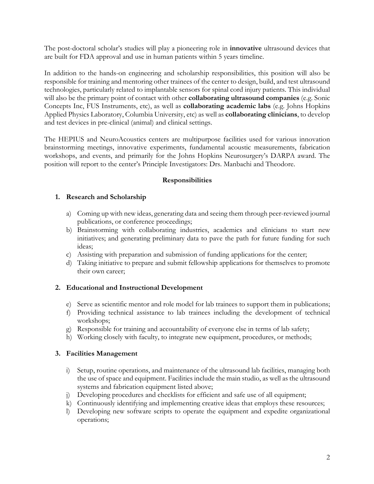The post-doctoral scholar's studies will play a pioneering role in **innovative** ultrasound devices that are built for FDA approval and use in human patients within 5 years timeline.

In addition to the hands-on engineering and scholarship responsibilities, this position will also be responsible for training and mentoring other trainees of the center to design, build, and test ultrasound technologies, particularly related to implantable sensors for spinal cord injury patients. This individual will also be the primary point of contact with other **collaborating ultrasound companies** (e.g. Sonic Concepts Inc, FUS Instruments, etc), as well as **collaborating academic labs** (e.g. Johns Hopkins Applied Physics Laboratory, Columbia University, etc) as well as **collaborating clinicians**, to develop and test devices in pre-clinical (animal) and clinical settings.

The HEPIUS and NeuroAcoustics centers are multipurpose facilities used for various innovation brainstorming meetings, innovative experiments, fundamental acoustic measurements, fabrication workshops, and events, and primarily for the Johns Hopkins Neurosurgery's DARPA award. The position will report to the center's Principle Investigators: Drs. Manbachi and Theodore.

# **Responsibilities**

# **1. Research and Scholarship**

- a) Coming up with new ideas, generating data and seeing them through peer-reviewed journal publications, or conference proceedings;
- b) Brainstorming with collaborating industries, academics and clinicians to start new initiatives; and generating preliminary data to pave the path for future funding for such ideas;
- c) Assisting with preparation and submission of funding applications for the center;
- d) Taking initiative to prepare and submit fellowship applications for themselves to promote their own career;

# **2. Educational and Instructional Development**

- e) Serve as scientific mentor and role model for lab trainees to support them in publications;
- f) Providing technical assistance to lab trainees including the development of technical workshops;
- g) Responsible for training and accountability of everyone else in terms of lab safety;
- h) Working closely with faculty, to integrate new equipment, procedures, or methods;

#### **3. Facilities Management**

- i) Setup, routine operations, and maintenance of the ultrasound lab facilities, managing both the use of space and equipment. Facilities include the main studio, as well as the ultrasound systems and fabrication equipment listed above;
- j) Developing procedures and checklists for efficient and safe use of all equipment;
- k) Continuously identifying and implementing creative ideas that employs these resources;
- l) Developing new software scripts to operate the equipment and expedite organizational operations;